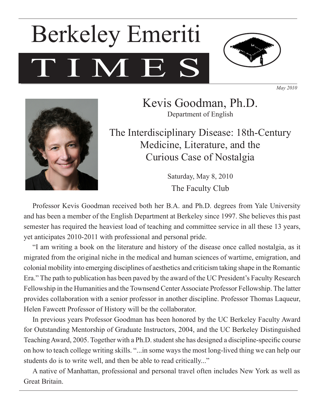# TIME Berkeley Emeriti



*May 2010*



Kevis Goodman, Ph.D. Department of English

The Interdisciplinary Disease: 18th-Century Medicine, Literature, and the Curious Case of Nostalgia

> Saturday, May 8, 2010 The Faculty Club

Professor Kevis Goodman received both her B.A. and Ph.D. degrees from Yale University and has been a member of the English Department at Berkeley since 1997. She believes this past semester has required the heaviest load of teaching and committee service in all these 13 years, yet anticipates 2010-2011 with professional and personal pride.

"I am writing a book on the literature and history of the disease once called nostalgia, as it migrated from the original niche in the medical and human sciences of wartime, emigration, and colonial mobility into emerging disciplines of aesthetics and criticism taking shape in the Romantic Era." The path to publication has been paved by the award of the UC President's Faculty Research Fellowship in the Humanities and the Townsend Center Associate Professor Fellowship. The latter provides collaboration with a senior professor in another discipline. Professor Thomas Laqueur, Helen Fawcett Professor of History will be the collaborator.

In previous years Professor Goodman has been honored by the UC Berkeley Faculty Award for Outstanding Mentorship of Graduate Instructors, 2004, and the UC Berkeley Distinguished Teaching Award, 2005. Together with a Ph.D. student she has designed a discipline-specific course on how to teach college writing skills. "...in some ways the most long-lived thing we can help our students do is to write well, and then be able to read critically..."

A native of Manhattan, professional and personal travel often includes New York as well as Great Britain.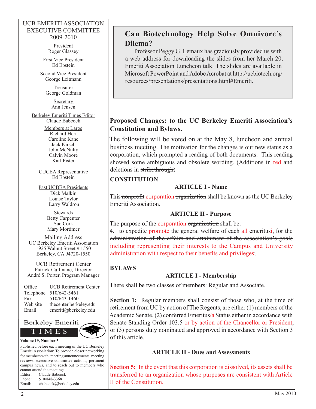#### UCB EMERITI ASSOCIATION EXECUTIVE COMMITTEE 2009-2010

President Roger Glassey

First Vice President Ed Epstein

Second Vice President George Leitmann

> Treasurer George Goldman

> > **Secretary** Ann Jensen

Berkeley Emeriti Times Editor Claude Babcock

> Members at Large Richard Herr Caroline Kane Jack Kirsch John McNulty Calvin Moore Karl Pister

Ed Epstein

Past UCBEA Presidents Dick Malkin Louise Taylor Larry Waldron

> **Stewards** Sue Cork Mary Mortimer

Mailing Address UC Berkeley Emeriti Association 1925 Walnut Street # 1550 Berkeley, CA 94720-1550

UCB Retirement Center Patrick Cullinane, Director André S. Porter, Program Manager

| Office    | <b>UCB Retirement Center</b> |
|-----------|------------------------------|
| Telephone | 510/642-5461                 |
| Fax       | 510/643-1460                 |
| Web site  | thecenter.berkeley.edu       |
| Email     | emeriti@berkeley.edu         |



Published before each meeting of the UC Berkeley Emeriti Association: To provide closer networking for members with: meeting announcements, meeting reviews, executive committee actions, pertinent campus news, and to reach out to members who cannot attend the meetings. Editor: Claude Babcock Phone: 510/848-3368 Email: cbabcock@berkeley.edu

CUCEA Representative

Betty Carpenter

## **Can Biotechnology Help Solve Omnivore's Dilema?**

Professor Peggy G. Lemaux has graciously provided us with a web address for downloading the slides from her March 20, Emeriti Association Luncheon talk. The slides are available in Microsoft PowerPoint and Adobe Acrobat at http://ucbiotech.org/ resources/presentations/presentations.html#Emeriti.

## **Proposed Changes: to the UC Berkeley Emeriti Association's Constitution and Bylaws.**

The following will be voted on at the May 8, luncheon and annual business meeting. The motivation for the changes is our new status as a corporation, which prompted a reading of both documents. This reading showed some ambiguous and obsolete wording. (Additions in red and deletions in strikethrough)

## **CONSTITUTION**

## **ARTICLE I - Name**

This nonprofit corporation organization shall be known as the UC Berkeley Emeriti Association.

## **ARTICLE II - Purpose**

The purpose of the corporation organization shall be:

4. to expedite promote the general welfare of each all emeritusi, for the administration of the affairs and attainment of the association's goals including representing their interests to the Campus and University administration with respect to their benefits and privileges;

## **BYLAWS**

## **ARTICLE I - Membership**

There shall be two classes of members: Regular and Associate.

**Section 1:** Regular members shall consist of those who, at the time of retirement from UC by action of The Regents, are either (1) members of the Academic Senate, (2) conferred Emeritus/a Status either in accordance with Senate Standing Order 103.5 or by action of the Chancellor or President, or (3) persons duly nominated and approved in accordance with Section 3 of this article.

## **ARTICLE II - Dues and Assessments**

**Section 5:** In the event that this corporation is dissolved, its assets shall be transferred to an organization whose purposes are consistent with Article II of the Constitution.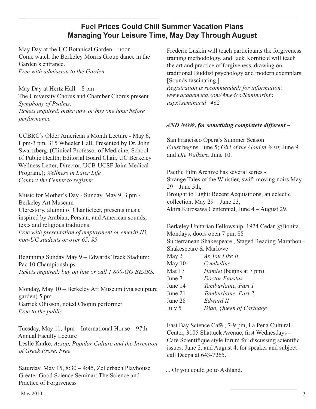## **Fuel Prices Could Chill Summer Vacation Plans Managing Your Leisure Time, May Day Through August**

May Day at the UC Botanical Garden – noon Come watch the Berkeley Morris Group dance in the Garden's entrance. *Free with admission to the Garden*

May Day at Hertz Hall – 8 pm The University Chorus and Chamber Chorus present *Symphony of Psalms. Tickets required, order now or buy one hour before performance.*

UCBRC's Older American's Month Lecture - May 6, 1 pm-3 pm, 315 Wheeler Hall, Presented by Dr. John Swartzberg, (Clinical Professor of Medicine, School of Public Health; Editorial Board Chair, UC Berkeley Wellness Letter, Director, UCB-UCSF Joint Medical Program.); *Wellness in Later Life Contact the Center to register.*

Music for Mother's Day - Sunday, May 9, 3 pm - Berkeley Art Museum Clerestory, alumni of Chanticleer, presents music inspired by Arabian, Persian, and American sounds, texts and religious traditions. *Free with presentation of employment or emeriti ID, non-UC students or over 65, \$5*

Beginning Sunday May 9 – Edwards Track Stadium: Pac 10 Championships *Tickets required; buy on line or call 1 800-GO BEARS.*

Monday, May 10 – Berkeley Art Museum (via sculpture garden) 5 pm Garrick Ohisson, noted Chopin performer *Free to the public*

Tuesday, May 11, 4pm – International House – 97th Annual Faculty Lecture Leslie Kurke, *Aesop, Popular Culture and the Invention of Greek Prose*. *Free*

Saturday, May 15, 8:30 – 4:45, Zellerbach Playhouse Greater Good Science Seminar: The Science and Practice of Forgiveness

Frederic Luskin will teach participants the forgiveness training methodology, and Jack Kornfield will teach the art and practice of forgiveness, drawing on traditional Buddist psychology and modern exemplars. [Sounds fascinating.]

*Registration is recommended; for information: www.academeca.com/Amedco/Seminarinfo. aspx?seminarid=462*

#### *AND NOW, for something completely different –*

San Francisco Opera's Summer Season *Faust* begins June 5; *Girl of the Golden West,* June 9 and *Die Walküre*, June 10.

Pacific Film Archive has several series - Strange Tales of the Whistler, swift-moving noirs May  $29 -$ June 5th, Brought to Light: Recent Acquisitions, an eclectic collection, May 29 – June 23, Akira Kurosawa Centennial, June 4 – August 29.

Berkeley Unitarian Fellowship, 1924 Cedar @Bonita, Mondays, doors open 7 pm, \$8 Subterranean Shakespeare , Staged Reading Marathon - Shakespeare & Marlowe

| May 3    | As You Like It                 |
|----------|--------------------------------|
| May $10$ | Cymbeline                      |
| Mat 17   | <i>Hamlet</i> (begins at 7 pm) |
| June 7   | <b>Doctor Faustus</b>          |
| June 14  | Tamburlaine, Part 1            |
| June 21  | Tamburlaine, Part 2            |
| June 28  | Edward II                      |
| July 5   | Dido, Queen of Carthage        |
|          |                                |

East Bay Science Café , 7-9 pm, La Pena Cultural Center, 3105 Shattuck Avenue, first Wednesdays - Cafe Scientifique style forum for discussing scientific issues. June 2, and August 4, for speaker and subject call Deepa at 643-7265.

... Or you could go to Ashland.